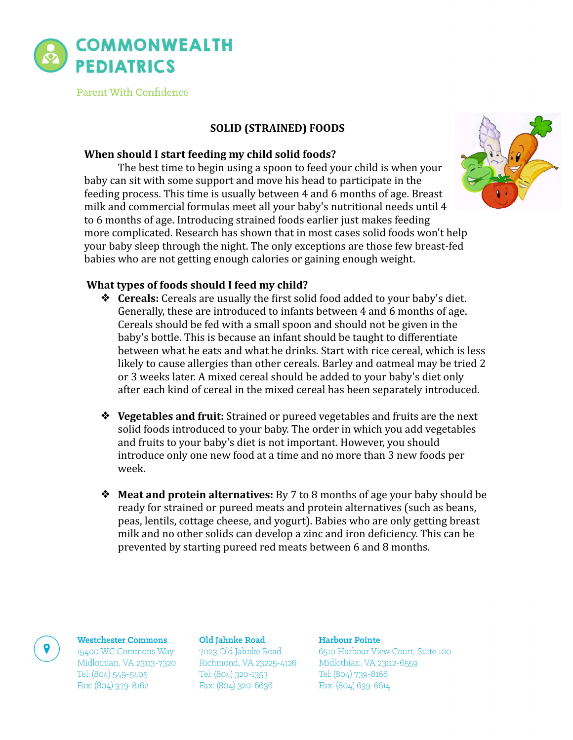

Parent With Confidence

# **SOLID (STRAINED) FOODS**

# **When should I start feeding my child solid foods?**

The best time to begin using a spoon to feed your child is when your baby can sit with some support and move his head to participate in the feeding process. This time is usually between 4 and 6 months of age. Breast milk and commercial formulas meet all your baby's nutritional needs until  $4<sup>7</sup>$ to 6 months of age. Introducing strained foods earlier just makes feeding more complicated. Research has shown that in most cases solid foods won't help your baby sleep through the night. The only exceptions are those few breast-fed babies who are not getting enough calories or gaining enough weight.



# **What types of foods should I feed my child?**

- **◆ Cereals:** Cereals are usually the first solid food added to your baby's diet. Generally, these are introduced to infants between 4 and 6 months of age. Cereals should be fed with a small spoon and should not be given in the baby's bottle. This is because an infant should be taught to differentiate between what he eats and what he drinks. Start with rice cereal, which is less likely to cause allergies than other cereals. Barley and oatmeal may be tried 2 or 3 weeks later. A mixed cereal should be added to your baby's diet only after each kind of cereal in the mixed cereal has been separately introduced.
- **❖** Vegetables and fruit: Strained or pureed vegetables and fruits are the next solid foods introduced to your baby. The order in which you add vegetables and fruits to your baby's diet is not important. However, you should introduce only one new food at a time and no more than 3 new foods per week.
- **◆ Meat and protein alternatives:** By 7 to 8 months of age your baby should be ready for strained or pureed meats and protein alternatives (such as beans, peas, lentils, cottage cheese, and yogurt). Babies who are only getting breast milk and no other solids can develop a zinc and iron deficiency. This can be prevented by starting pureed red meats between 6 and 8 months.

## **Westchester Commons**

15400 WC Commons Way Midlothian, VA 23113-7320 Tel: (804) 549-5405 Fax: (804) 379-8162

## Old Jahnke Road

7023 Old Jahnke Road Richmond, VA 23225-4126 Tel: (804) 320-1353 Fax: (804) 320-6636

## Harbour Pointe

6510 Harbour View Court, Suite 100 Midlothian, VA 23112-6559 Tel: (804) 739-8166 Fax: (804) 639-6614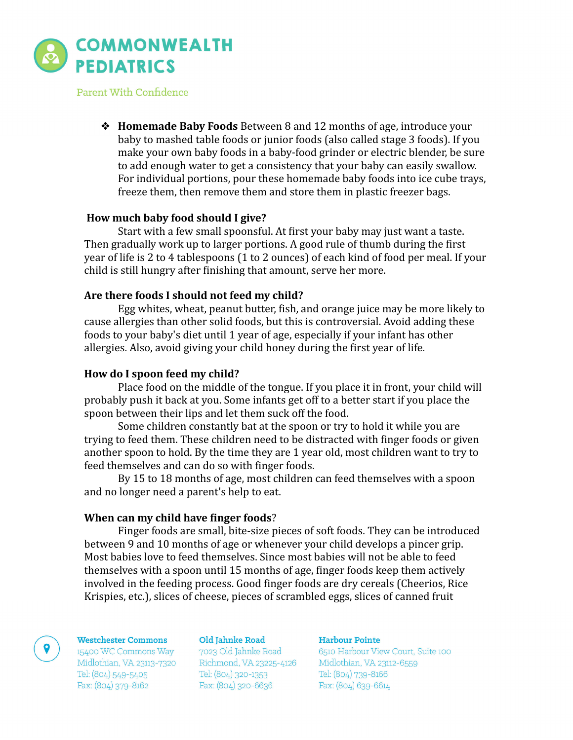

Parent With Confidence

**◆ Homemade Baby Foods** Between 8 and 12 months of age, introduce your baby to mashed table foods or junior foods (also called stage 3 foods). If you make your own baby foods in a baby-food grinder or electric blender, be sure to add enough water to get a consistency that your baby can easily swallow. For individual portions, pour these homemade baby foods into ice cube trays, freeze them, then remove them and store them in plastic freezer bags.

## **How much baby food should I give?**

Start with a few small spoonsful. At first your baby may just want a taste. Then gradually work up to larger portions. A good rule of thumb during the first year of life is 2 to 4 tablespoons (1 to 2 ounces) of each kind of food per meal. If your child is still hungry after finishing that amount, serve her more.

# Are there foods I should not feed my child?

Egg whites, wheat, peanut butter, fish, and orange juice may be more likely to cause allergies than other solid foods, but this is controversial. Avoid adding these foods to your baby's diet until 1 year of age, especially if your infant has other allergies. Also, avoid giving your child honey during the first year of life.

## How do I spoon feed my child?

Place food on the middle of the tongue. If you place it in front, your child will probably push it back at you. Some infants get off to a better start if you place the spoon between their lips and let them suck off the food.

Some children constantly bat at the spoon or try to hold it while you are trying to feed them. These children need to be distracted with finger foods or given another spoon to hold. By the time they are 1 year old, most children want to try to feed themselves and can do so with finger foods.

By 15 to 18 months of age, most children can feed themselves with a spoon and no longer need a parent's help to eat.

## **When can my child have finger foods?**

Finger foods are small, bite-size pieces of soft foods. They can be introduced between 9 and 10 months of age or whenever your child develops a pincer grip. Most babies love to feed themselves. Since most babies will not be able to feed themselves with a spoon until 15 months of age, finger foods keep them actively involved in the feeding process. Good finger foods are dry cereals (Cheerios, Rice Krispies, etc.), slices of cheese, pieces of scrambled eggs, slices of canned fruit

### **Westchester Commons**

15400 WC Commons Way Midlothian, VA 23113-7320 Tel: (804) 549-5405 Fax: (804) 379-8162

#### Old Jahnke Road

7023 Old Jahnke Road<br>Richmond, VA 23225-4126 Tel: (804) 320-1353 Fax: (804) 320-6636

## Harbour Pointe

6510 Harbour View Court, Suite 100 Midlothian, VA 23112-6559 Tel: (804) 739-8166 Fax: (804) 639-6614